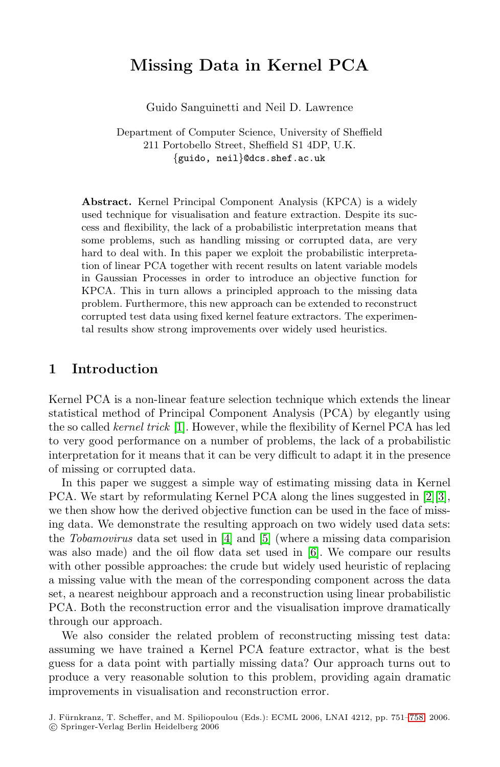# **Missing Data in Kernel PCA**

Guido Sanguinetti and Neil D. Lawrence

Department of Computer Science, University of Sheffield 211 Portobello Street, Sheffield S1 4DP, U.K. {guido, neil}@dcs.shef.ac.uk

**Abstract.** Kernel Principal Component Analysis (KPCA) is a widely used technique for visualisation and feature extraction. Despite its success and flexibility, the lack of a probabilistic interpretation means that some problems, such as handling missing or corrupted data, are very hard to deal with. In this paper we exploit the probabilistic interpretation of linear PCA together with recent results on latent variable models in Gaussian Processes in order to introduce an objective function for KPCA. This in turn allows a principled approach to the missing data problem. Furthermore, this new approach can be extended to reconstruct [co](#page-7-0)rrupted test data using fixed kernel feature extractors. The experimental results show strong improvements over widely used heuristics.

### **1 Introduction**

Kernel PCA is a non-linear feature selection technique [wh](#page-7-1)[ic](#page-7-2)h extends the linear statistical method of Principal Component Analysis (PCA) by elegantly using the so called ke[rne](#page-7-3)l tric[k](#page-7-4) [1]. However, while the flexibility of Kernel PCA has led to very good performance on a [nu](#page-7-5)mber of problems, the lack of a probabilistic interpretation for it means that it can be very difficult to adapt it in the presence of missing or corrupted data.

In this paper we suggest a simple way of estimating missing data in Kernel PCA. We start by reformulating Kernel PCA along the lines suggested in [2][3], we then show how the derived objective function can be used in the face of missing data. We demonstrate the resulting approach on two widely used data sets: the Tobamovirus data set used in [4] and [5] (where a missing data comparision was also made) and the oil flow data set used in [6]. We compare our results with other possible approaches: the crude but widely used heuristic of replacing a missing value with the mean of the corresponding component across the data set, a nearest neighbour approach and a reconstruction using linear probabilistic PCA. Both the reconstruction error and the visuali[satio](#page-7-0)n improve dramatically through our approach.

We also consider the related problem of reconstructing missing test data: assuming we have trained a Kernel PCA feature extractor, what is the best guess for a data point with partially missing data? Our approach turns out to produce a very reasonable solution to this problem, providing again dramatic improvements in visualisation and reconstruction error.

J. Fürnkranz, T. Scheffer, and M. Spiliopoulou (Eds.): ECML 2006, LNAI 4212, pp. 751–758, 2006. -c Springer-Verlag Berlin Heidelberg 2006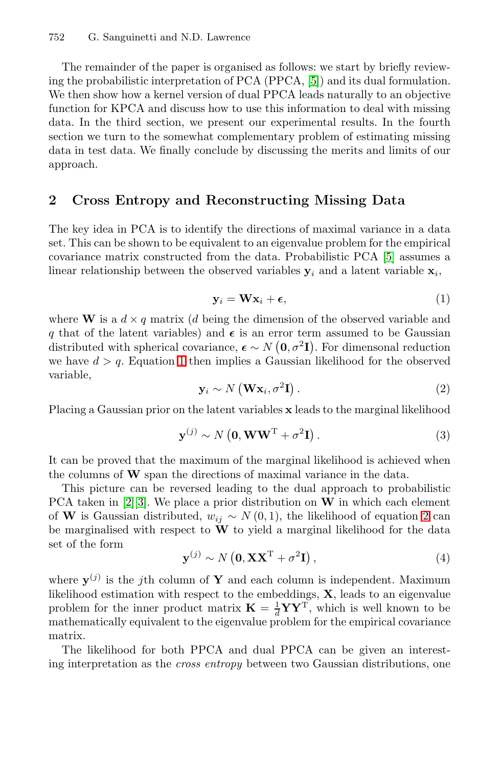#### 752 G. Sanguinetti and N.D. Lawrence

The remainder of the paper is organised as follows: we start by briefly reviewing the probabilistic interpretation of PCA (PPCA, [5]) and its dual formulation. We then show how a kernel version of dual PPCA leads naturally to an objective function for KPCA and discuss how to use this information to deal with missing data. In the third section, we present our experimental results. In the fourth section we turn to the somewhat complementary problem of estimating missing data in test data. We finally conclude by discus[sin](#page-7-4)g the merits and limits of our approach.

#### <span id="page-1-0"></span>**2 Cross Entropy and Reconstructing Missing Data**

<span id="page-1-1"></span>The key idea in PCA is to identify the directions of maximal variance in a data set. This can be shown to be equivalent to an eigenvalue problem for the empirical covari[an](#page-1-0)ce matrix constructed from the data. Probabilistic PCA [5] assumes a linear relationship between the observed variables  $y_i$  and a latent variable  $x_i$ ,

$$
\mathbf{y}_i = \mathbf{W} \mathbf{x}_i + \boldsymbol{\epsilon},\tag{1}
$$

where **W** is a  $d \times q$  matrix (d being the dimension of the observed variable and q that of the latent variables) and  $\epsilon$  is an error term assumed to be Gaussian distributed with spherical covariance,  $\boldsymbol{\epsilon} \sim N(0, \sigma^2 I)$ . For dimensonal reduction we have  $d > q$ . Equation 1 then implies a Gaussian likelihood for the observed variable,

$$
\mathbf{y}_i \sim N\left(\mathbf{W}\mathbf{x}_i, \sigma^2\mathbf{I}\right). \tag{2}
$$

Placing a Gaussian prior on the latent variables **x** leads [to](#page-1-1) the marginal likelihood

$$
\mathbf{y}^{(j)} \sim N\left(\mathbf{0}, \mathbf{W}\mathbf{W}^{\mathrm{T}} + \sigma^2 \mathbf{I}\right). \tag{3}
$$

It can be proved that the maximum of the marginal likelihood is achieved when the columns of **W** span the directions of maximal variance in the data.

This picture can be reversed leading to the dual approach to probabilistic PCA taken in [2][3]. We place a prior distribution on **W** in which each element of **W** is Gaussian distributed,  $w_{ij} \sim N(0, 1)$ , the likelihood of equation 2 can be marginalised with respect to  $\mathbf{\tilde{W}}$  to yield a marginal likelihood for the data set of the form

$$
\mathbf{y}^{(j)} \sim N\left(\mathbf{0}, \mathbf{X} \mathbf{X}^{\mathrm{T}} + \sigma^2 \mathbf{I}\right),\tag{4}
$$

where  $\mathbf{y}^{(j)}$  is the j<sup>th</sup> column of **Y** and each column is independent. Maximum likelihood estimation with respect to the embeddings, **X**, leads to an eigenvalue problem for the inner product matrix  $\mathbf{K} = \frac{1}{d} \mathbf{Y} \mathbf{Y}^{\mathrm{T}}$ , which is well known to be mathematically equivalent to the eigenvalue problem for the empirical covariance matrix.

The likelihood for both PPCA and dual PPCA can be given an interesting interpretation as the cross entropy between two Gaussian distributions, one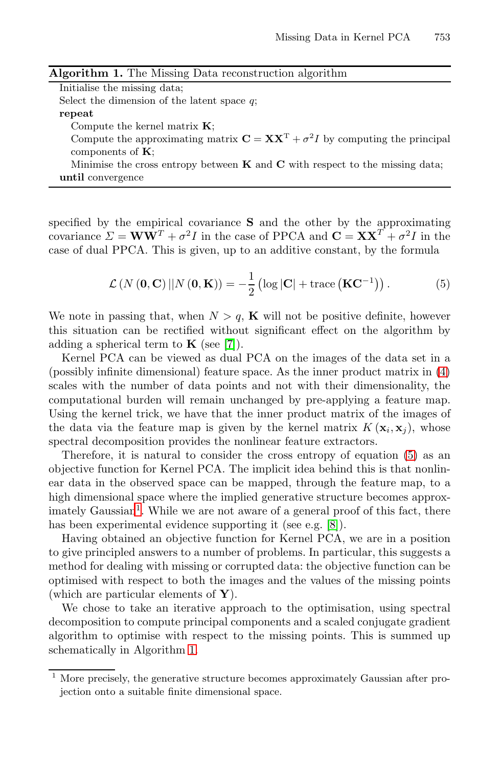<span id="page-2-1"></span>

| Algorithm 1. The Missing Data reconstruction algorithm                                                                    |
|---------------------------------------------------------------------------------------------------------------------------|
| Initialise the missing data:                                                                                              |
| Select the dimension of the latent space $q$ ;                                                                            |
| repeat                                                                                                                    |
| Compute the kernel matrix $K$ :                                                                                           |
| Compute the approximating matrix $\mathbf{C} = \mathbf{X}\mathbf{X}^{\mathrm{T}} + \sigma^2 I$ by computing the principal |
| components of $K$ :                                                                                                       |
| Minimise the cross entropy between $\bf{K}$ and $\bf{C}$ with respect to the missing data;                                |
| until convergence                                                                                                         |

specified by the empirical covariance **S** and the other by the approximating covariance  $\Sigma = \mathbf{WW}^T + \sigma^2 I$  $\Sigma = \mathbf{WW}^T + \sigma^2 I$  $\Sigma = \mathbf{WW}^T + \sigma^2 I$  in the case of PPCA and  $\mathbf{C} = \mathbf{XX}^T + \sigma^2 I$  in the case of dual PPCA. This is given, up to an additive constant, by the formula

<span id="page-2-0"></span>
$$
\mathcal{L}\left(N\left(\mathbf{0},\mathbf{C}\right)||N\left(\mathbf{0},\mathbf{K}\right)\right)=-\frac{1}{2}\left(\log|\mathbf{C}|+\text{trace}\left(\mathbf{K}\mathbf{C}^{-1}\right)\right).
$$
 (5)

We note in passing that, when  $N > q$ , **K** will not be positive definite, however this situation can be rectified without significant effect on the algorithm by adding a spherical term to  $\mathbf{K}$  (see [7]).

Kernel PCA can be viewed as dual PCA on the [im](#page-2-0)ages of the data set in a (possibly infinite dimensional) feature space. As the inner product matrix in (4) scales with the number of data points and not with their dimensionality, the computational burden will remain unchanged by pre-applying a feature map. Using the kernel trick, we have that [t](#page-7-7)he inner product matrix of the images of the data via the feature map is given by the kernel matrix  $K(\mathbf{x}_i, \mathbf{x}_i)$ , whose spectral decomposition provides the nonlinear feature extractors.

Therefore, it is natural to consider the cross entropy of equation (5) as an objective function for Kernel PCA. The implicit idea behind this is that nonlinear data in the observed space can be mapped, through the feature map, to a high dimensional space where the implied generative structure becomes approx- $\mathbf{I}$  imately Gaussian<sup>1</sup>. While we are not aware of a general proof of this fact, there has been experimental evidence supporting it (see e.g. [8]).

Havin[g](#page-2-1) obtained an objective function for Kernel PCA, we are in a position to give principled answers to a number of problems. In particular, this suggests a method for dealing with missing or corrupted data: the objective function can be optimised with respect to both the images and the values of the missing points (which are particular elements of **Y**).

We chose to take an iterative approach to the optimisation, using spectral decomposition to compute principal components and a scaled conjugate gradient algorithm to optimise with respect to the missing points. This is summed up schematically in Algorithm 1.

<sup>1</sup> More precisely, the generative structure becomes approximately Gaussian after projection onto a suitable finite dimensional space.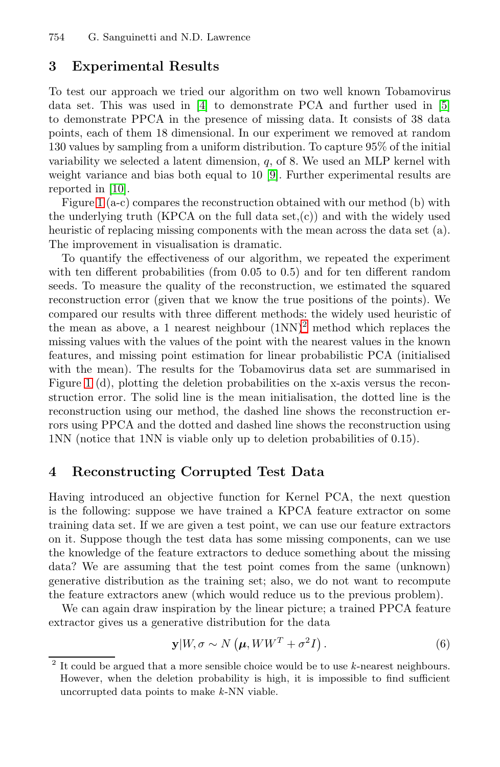754 G. Sanguinetti and N.D. Lawrence

#### **3 Experimental [R](#page-7-8)esults**

To test our approach we tried our algorithm on two well known Tobamovirus data set. This was used in [4] to demonstrate PCA and further used in [5] to demonstrate PPCA in the presence of missing data. It consists of 38 data points, each of them 18 dimensional. In our experiment we removed at random 130 values by sampling from a uniform distribution. To capture 95% of the initial variability we selected a latent dimension,  $q$ , of 8. We used an MLP kernel with weight variance and bias both equal to 10 [9]. Further experimental results are reported in [10].

Figure 1 (a-c) compares the reconstruction obtained with our method (b) with the underlying truth (KPCA o[n](#page-3-0) the full data set,(c)) and with the widely used heuristic of replacing missing components with the mean across the data set (a). The improvement in visualisation is dramatic.

To quantify the effectiveness of our algorithm, we repeated the experiment with ten different probabilities (from 0.05 to 0.5) and for ten different random seeds. To measure the quality of the reconstruction, we estimated the squared reconstruction error (given that we know the true positions of the points). We compared our results with three different methods: the widely used heuristic of the mean as above, a 1 nearest neighbour  $(1NN)^2$  method which replaces the missing values with the values of the point with the nearest values in the known features, and missing point estimation for linear probabilistic PCA (initialised with the mean). The results for the Tobamovirus data set are summarised in Figure 1 (d), plotting the deletion probabilities on the x-axis versus the reconstruction error. The solid line is the mean initialisation, the dotted line is the reconstruction using our method, the dashed line shows the reconstruction errors using PPCA and the dotted and dashed line shows the reconstruction using 1NN (notice that 1NN is viable only up to deletion probabilities of 0.15).

### **4 Reconstructing Corrupted Test Data**

<span id="page-3-1"></span>Having introduced an objective function for Kernel PCA, the next question is the following: suppose we have trained a KPCA feature extractor on some training data set. If we are given a test point, we can use our feature extractors on it. Suppose though the test data has some missing components, can we use the knowledge of the feature extractors to deduce something about the missing data? We are assuming that the test point comes from the same (unknown) generative distribution as the training set; also, we do not want to recompute the feature extractors anew (which would reduce us to the previous problem).

<span id="page-3-0"></span>We can again draw inspiration by the linear picture; a trained PPCA feature extractor gives us a generative distribution for the data

$$
\mathbf{y}|W,\sigma \sim N\left(\boldsymbol{\mu}, WW^T + \sigma^2 I\right). \tag{6}
$$

 $2$  It could be argued that a more sensible choice would be to use  $k$ -nearest neighbours. However, when the deletion probability is high, it is impossible to find sufficient uncorrupted data points to make k-NN viable.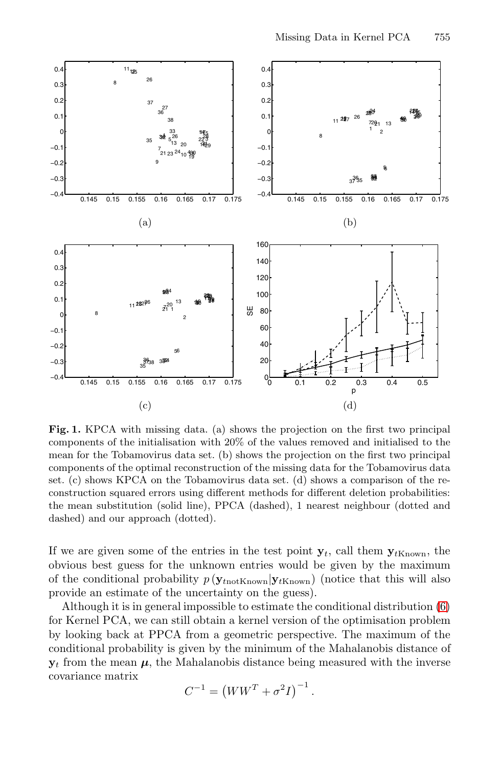

**Fig. 1.** KPCA with missing data. (a) shows the projection on the first two principal components of the initialisation with 20% of the values removed and initialised to the mean for the Tobamovirus data set. (b) shows the projection on the first two principal components of the optimal reconstruction of the missing data for the Tobamovirus data set. (c) shows KPCA on the Tobamovirus data set. (d) shows a comparison of the reconstruction squared errors using different methods for differen[t d](#page-3-1)eletion probabilities: the mean substitution (solid line), PPCA (dashed), 1 nearest neighbour (dotted and dashed) and our approach (dotted).

If we are given some of the entries in the test point  $y_t$ , call them  $y_{tK_{\text{Rown}}}$ , the obvious best guess for the unknown entries would be given by the maximum of the conditional probability  $p(\mathbf{y}_{tnot\text{Known}}|\mathbf{y}_{tKnown})$  (notice that this will also provide an estimate of the uncertainty on the guess).

Although it is in general impossible to estimate the conditional distribution (6) for Kernel PCA, we can still obtain a kernel version of the optimisation problem by looking back at PPCA from a geometric perspective. The maximum of the conditional probability is given by the minimum of the Mahalanobis distance of  $y_t$  from the mean  $\mu$ , the Mahalanobis distance being measured with the inverse covariance matrix

$$
C^{-1} = (WW^{T} + \sigma^{2}I)^{-1}.
$$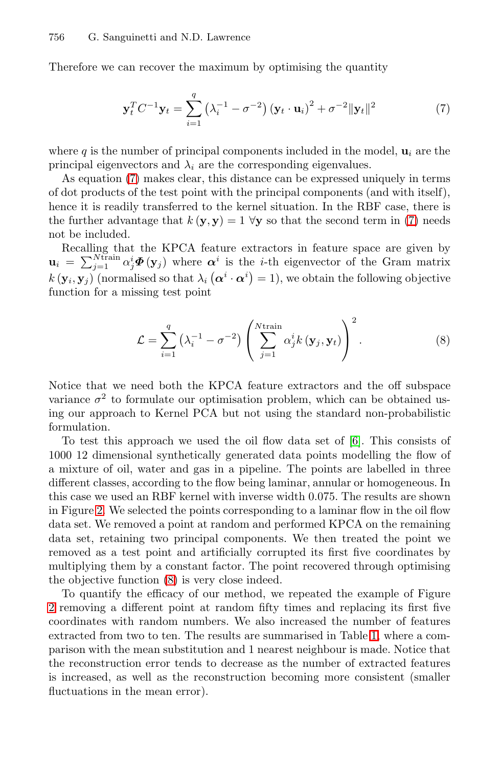#### 756 G. Sanguinetti and N.D. Lawrence

Therefore we can recover the maximum by optimising the quantity

<span id="page-5-0"></span>
$$
\mathbf{y}_{t}^{T} C^{-1} \mathbf{y}_{t} = \sum_{i=1}^{q} \left( \lambda_{i}^{-1} - \sigma^{-2} \right) \left( \mathbf{y}_{t} \cdot \mathbf{u}_{i} \right)^{2} + \sigma^{-2} \|\mathbf{y}_{t}\|^{2}
$$
(7)

where q is the number of principal components included in the model,  $\mathbf{u}_i$  are the principal eigenvectors and  $\lambda_i$  are the corresponding eigenvalues.

<span id="page-5-1"></span>As equation (7) makes clear, this distance can be expressed uniquely in terms of dot products of the test point with the principal components (and with itself), hence it is readily transferred to the kernel situation. In the RBF case, there is the further advantage that  $k(\mathbf{y}, \mathbf{y}) = 1 \forall \mathbf{y}$  so that the second term in (7) needs not be included.

Recalling that the KPCA feature extractors in feature space are given by  $\mathbf{u}_i = \sum_{j=1}^{N \text{train}} \alpha_j^i \boldsymbol{\Phi}(\mathbf{y}_j)$  where  $\boldsymbol{\alpha}^i$  is the *i*-th eigenvector of the Gram matrix  $k(\mathbf{y}_i, \mathbf{y}_j)$  (normalised so that  $\lambda_i(\boldsymbol{\alpha}^i \cdot \boldsymbol{\alpha}^i) = 1$ ), we obtain the following objective function for a missing test point

$$
\mathcal{L} = \sum_{i=1}^{q} \left( \lambda_i^{-1} - \sigma^{-2} \right) \left( \sum_{j=1}^{N \text{train}} \alpha_j^i k \left( \mathbf{y}_j, \mathbf{y}_t \right) \right)^2.
$$
 (8)

Notice that we need both the KPCA feature extractors and the off subspace variance  $\sigma^2$  to formulate our optimisation problem, which can be obtained using our approach to Kernel PCA but not using the standard non-probabilistic formulation.

To test this approach we used the oil flow data set of [6]. This consists of 1000 12 dimensional synthetically generated data points modelling the flow of a m[ixt](#page-5-1)ure of oil, water and gas in a pipeline. The points are labelled in three different classes, according to the flow being laminar, annular or homogeneous. In this case we used an RBF kernel with inverse width 0.075. The results are shown in Figure 2. We selected the points corresponding to a laminar flow in the oil flow data set. We removed a point at random and [pe](#page-6-0)rformed KPCA on the remaining data set, retaining two principal components. We then treated the point we removed as a test point and artificially corrupted its first five coordinates by multiplying them by a constant factor. The point recovered through optimising the objective function (8) is very close indeed.

To quantify the efficacy of our method, we repeated the example of Figure 2 removing a different point at random fifty times and replacing its first five coordinates with random numbers. We also increased the number of features extracted from two to ten. The results are summarised in Table 1, where a comparison with the mean substitution and 1 nearest neighbour is made. Notice that the reconstruction error tends to decrease as the number of extracted features is increased, as well as the reconstruction becoming more consistent (smaller fluctuations in the mean error).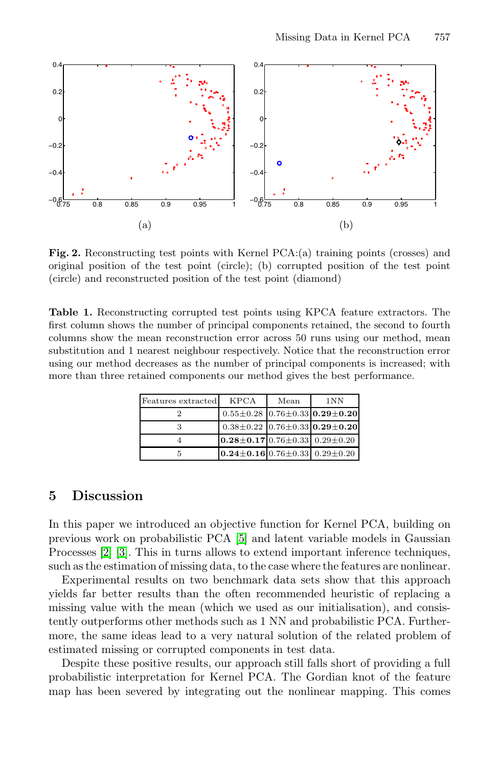

<span id="page-6-0"></span>**Fig. 2.** Reconstructing test points with Kernel PCA:(a) training points (crosses) and original position of the test point (circle); (b) corrupted position of the test point (circle) and reconstructed position of the test point (diamond)

**Table 1.** Reconstructing corrupted test points using KPCA feature extractors. The first column shows the number of principal components retained, the second to fourth columns show the mean reconstruction error across 50 runs using our method, mean substitution and 1 nearest neighbour respectively. Notice that the reconstruction error using our method decreases as the number of principal components is increased; with more than three retained components our method gives the best performance.

| Features extracted | <b>KPCA</b>                                       | Mean | 1NN                                             |
|--------------------|---------------------------------------------------|------|-------------------------------------------------|
|                    |                                                   |      | $0.55 \pm 0.28$ 0.76 $\pm 0.33$ 0.29 $\pm$ 0.20 |
|                    |                                                   |      | $0.38\pm0.22$ 0.76 $\pm0.33$ 0.29 $\pm0.20$     |
|                    | $0.28 \pm 0.17$ 0.76 $\pm$ 0.33 0.29 $\pm$ 0.20   |      |                                                 |
|                    | $0.24 \pm 0.16 \, 0.76 \pm 0.33 \, 0.29 \pm 0.20$ |      |                                                 |

### **5 Discussion**

In this paper we introduced an objective function for Kernel PCA, building on previous work on probabilistic PCA [5] and latent variable models in Gaussian Processes [2] [3]. This in turns allows to extend important inference techniques, such as the estimation of missing data, to the case where the features are nonlinear.

Experimental results on two benchmark data sets show that this approach yields far better results than the often recommended heuristic of replacing a missing value with the mean (which we used as our initialisation), and consistently outperforms other methods such as 1 NN and probabilistic PCA. Furthermore, the same ideas lead to a very natural solution of the related problem of estimated missing or corrupted components in test data.

Despite these positive results, our approach still falls short of providing a full probabilistic interpretation for Kernel PCA. The Gordian knot of the feature map has been severed by integrating out the nonlinear mapping. This comes